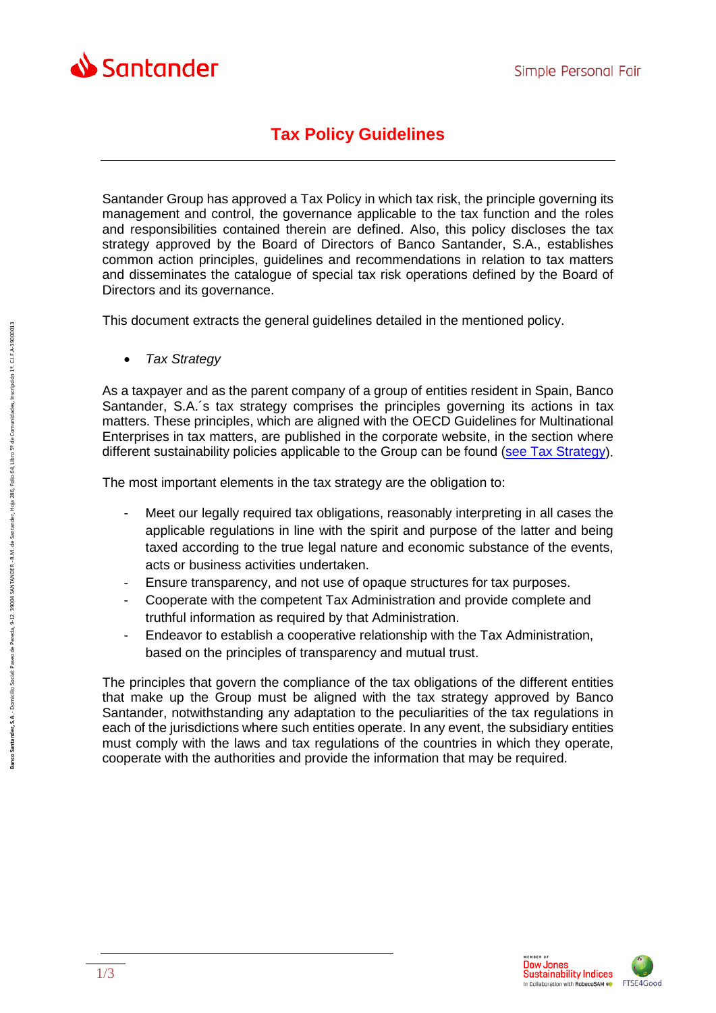

## **Tax Policy Guidelines**

Santander Group has approved a Tax Policy in which tax risk, the principle governing its management and control, the governance applicable to the tax function and the roles and responsibilities contained therein are defined. Also, this policy discloses the tax strategy approved by the Board of Directors of Banco Santander, S.A., establishes common action principles, guidelines and recommendations in relation to tax matters and disseminates the catalogue of special tax risk operations defined by the Board of Directors and its governance.

This document extracts the general guidelines detailed in the mentioned policy.

• *Tax Strategy*

As a taxpayer and as the parent company of a group of entities resident in Spain, Banco Santander, S.A.´s tax strategy comprises the principles governing its actions in tax matters. These principles, which are aligned with the OECD Guidelines for Multinational Enterprises in tax matters, are published in the corporate website, in the section where different sustainability policies applicable to the Group can be found [\(see Tax Strategy\)](https://www.santander.com/csgs/StaticBS?blobcol=urldata&blobheadername1=content-type&blobheadername2=Content-Disposition&blobheadername3=appID&blobheadervalue1=application%2Fpdf&blobheadervalue2=inline%3Bfilename%3D856%5C695%5CTax_strategy_Banco_Santander.pdf&blobheadervalue3=santander.wc.CFWCSancomQP01&blobkey=id&blobtable=MungoBlobs&blobwhere=1278735604034&ssbinary=true).

The most important elements in the tax strategy are the obligation to:

- Meet our legally required tax obligations, reasonably interpreting in all cases the applicable regulations in line with the spirit and purpose of the latter and being taxed according to the true legal nature and economic substance of the events, acts or business activities undertaken.
- Ensure transparency, and not use of opaque structures for tax purposes.
- Cooperate with the competent Tax Administration and provide complete and truthful information as required by that Administration.
- Endeavor to establish a cooperative relationship with the Tax Administration, based on the principles of transparency and mutual trust.

The principles that govern the compliance of the tax obligations of the different entities that make up the Group must be aligned with the tax strategy approved by Banco Santander, notwithstanding any adaptation to the peculiarities of the tax regulations in each of the jurisdictions where such entities operate. In any event, the subsidiary entities must comply with the laws and tax regulations of the countries in which they operate, cooperate with the authorities and provide the information that may be required.

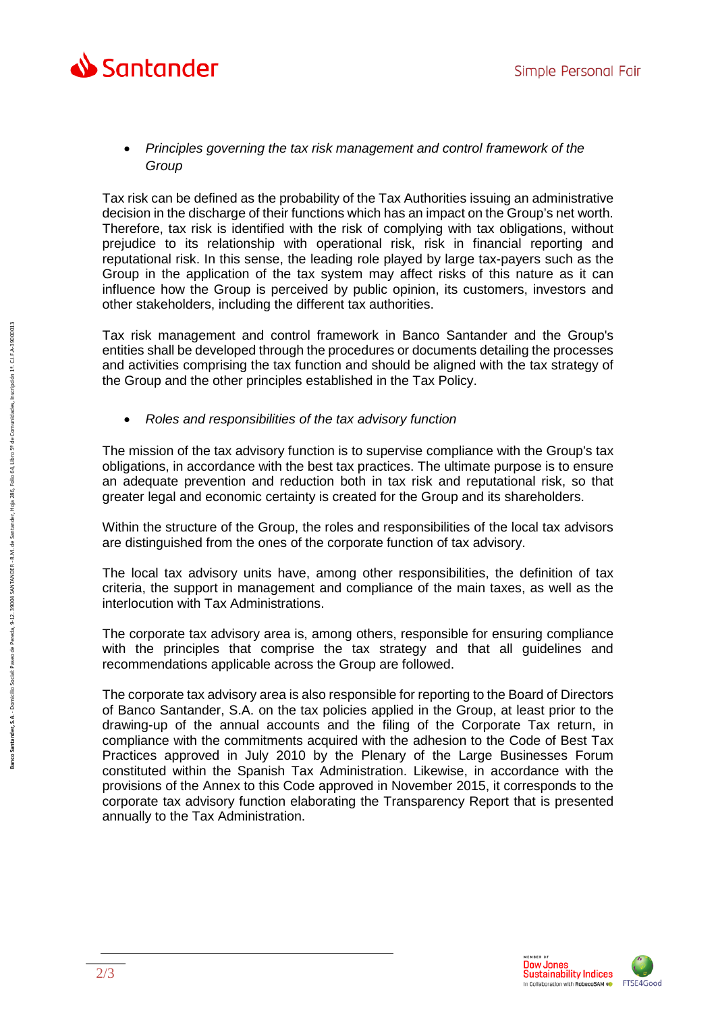

## • *Principles governing the tax risk management and control framework of the Group*

Tax risk can be defined as the probability of the Tax Authorities issuing an administrative decision in the discharge of their functions which has an impact on the Group's net worth. Therefore, tax risk is identified with the risk of complying with tax obligations, without prejudice to its relationship with operational risk, risk in financial reporting and reputational risk. In this sense, the leading role played by large tax-payers such as the Group in the application of the tax system may affect risks of this nature as it can influence how the Group is perceived by public opinion, its customers, investors and other stakeholders, including the different tax authorities.

Tax risk management and control framework in Banco Santander and the Group's entities shall be developed through the procedures or documents detailing the processes and activities comprising the tax function and should be aligned with the tax strategy of the Group and the other principles established in the Tax Policy.

• *Roles and responsibilities of the tax advisory function* 

The mission of the tax advisory function is to supervise compliance with the Group's tax obligations, in accordance with the best tax practices. The ultimate purpose is to ensure an adequate prevention and reduction both in tax risk and reputational risk, so that greater legal and economic certainty is created for the Group and its shareholders.

Within the structure of the Group, the roles and responsibilities of the local tax advisors are distinguished from the ones of the corporate function of tax advisory.

The local tax advisory units have, among other responsibilities, the definition of tax criteria, the support in management and compliance of the main taxes, as well as the interlocution with Tax Administrations.

The corporate tax advisory area is, among others, responsible for ensuring compliance with the principles that comprise the tax strategy and that all guidelines and recommendations applicable across the Group are followed.

The corporate tax advisory area is also responsible for reporting to the Board of Directors of Banco Santander, S.A. on the tax policies applied in the Group, at least prior to the drawing-up of the annual accounts and the filing of the Corporate Tax return, in compliance with the commitments acquired with the adhesion to the Code of Best Tax Practices approved in July 2010 by the Plenary of the Large Businesses Forum constituted within the Spanish Tax Administration. Likewise, in accordance with the provisions of the Annex to this Code approved in November 2015, it corresponds to the corporate tax advisory function elaborating the Transparency Report that is presented annually to the Tax Administration.